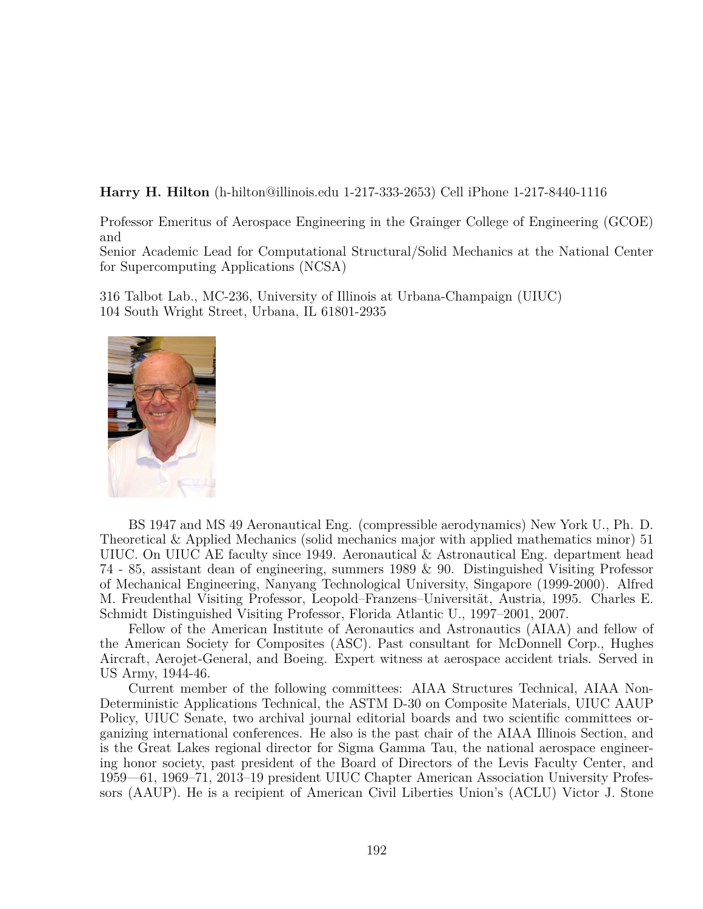**Harry H. Hilton** (h-hilton@illinois.edu 1-217-333-2653) Cell iPhone 1-217-8440-1116

Professor Emeritus of Aerospace Engineering in the Grainger College of Engineering (GCOE) and

Senior Academic Lead for Computational Structural/Solid Mechanics at the National Center for Supercomputing Applications (NCSA)

316 Talbot Lab., MC-236, University of Illinois at Urbana-Champaign (UIUC) 104 South Wright Street, Urbana, IL 61801-2935



BS 1947 and MS 49 Aeronautical Eng. (compressible aerodynamics) New York U., Ph. D. Theoretical & Applied Mechanics (solid mechanics major with applied mathematics minor) 51 UIUC. On UIUC AE faculty since 1949. Aeronautical & Astronautical Eng. department head 74 - 85, assistant dean of engineering, summers 1989 & 90. Distinguished Visiting Professor of Mechanical Engineering, Nanyang Technological University, Singapore (1999-2000). Alfred M. Freudenthal Visiting Professor, Leopold–Franzens–Universität, Austria, 1995. Charles E. Schmidt Distinguished Visiting Professor, Florida Atlantic U., 1997–2001, 2007.

Fellow of the American Institute of Aeronautics and Astronautics (AIAA) and fellow of the American Society for Composites (ASC). Past consultant for McDonnell Corp., Hughes Aircraft, Aerojet-General, and Boeing. Expert witness at aerospace accident trials. Served in US Army, 1944-46.

Current member of the following committees: AIAA Structures Technical, AIAA Non-Deterministic Applications Technical, the ASTM D-30 on Composite Materials, UIUC AAUP Policy, UIUC Senate, two archival journal editorial boards and two scientific committees organizing international conferences. He also is the past chair of the AIAA Illinois Section, and is the Great Lakes regional director for Sigma Gamma Tau, the national aerospace engineering honor society, past president of the Board of Directors of the Levis Faculty Center, and 1959—61, 1969–71, 2013–19 president UIUC Chapter American Association University Professors (AAUP). He is a recipient of American Civil Liberties Union's (ACLU) Victor J. Stone